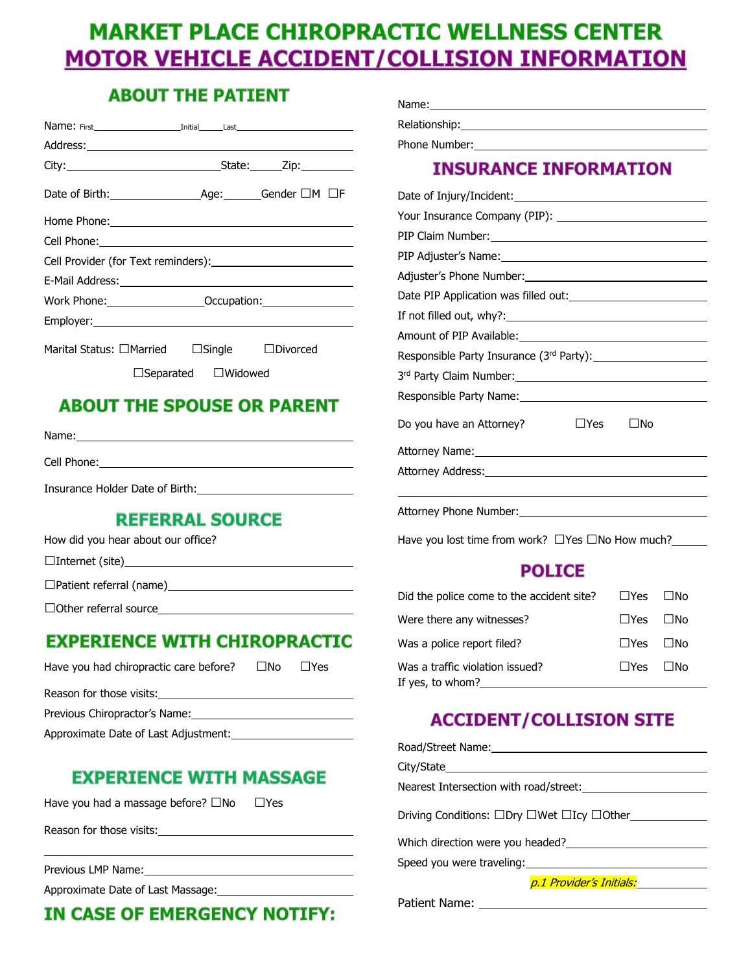# **MARKET PLACE CHIROPRACTIC WELLNESS CENTER MOTOR VEHICLE ACCIDENT/COLLISION INFORMATION**

### **ABOUT THE PATIENT**

| Address: 2008 Contract Contract Contract Contract Contract Contract Contract Contract Contract Contract Contract Contract Contract Contract Contract Contract Contract Contract Contract Contract Contract Contract Contract C |                                 |  |  |
|--------------------------------------------------------------------------------------------------------------------------------------------------------------------------------------------------------------------------------|---------------------------------|--|--|
|                                                                                                                                                                                                                                |                                 |  |  |
|                                                                                                                                                                                                                                |                                 |  |  |
|                                                                                                                                                                                                                                |                                 |  |  |
|                                                                                                                                                                                                                                |                                 |  |  |
|                                                                                                                                                                                                                                |                                 |  |  |
| E-Mail Address: No. 1998                                                                                                                                                                                                       |                                 |  |  |
| Work Phone: ________________________Occupation: ________________________________                                                                                                                                               |                                 |  |  |
|                                                                                                                                                                                                                                |                                 |  |  |
| Marital Status: □Married □Single □Divorced                                                                                                                                                                                     |                                 |  |  |
|                                                                                                                                                                                                                                | $\Box$ Separated $\Box$ Widowed |  |  |

## **ABOUT THE SPOUSE OR PARENT**

Name:

Cell Phone:

Insurance Holder Date of Birth:

#### **REFERRAL SOURCE**

|  | How did you hear about our office? |
|--|------------------------------------|
|--|------------------------------------|

□Internet (site)

□Patient referral (name)

□Other referral source

### **EXPERIENCE WITH CHIROPRACTIC**

| Have you had chiropractic care before? | $\Box$ No | l IYes |  |
|----------------------------------------|-----------|--------|--|
| Reason for those visits:               |           |        |  |
| Previous Chiropractor's Name:          |           |        |  |
| Approximate Date of Last Adjustment:   |           |        |  |
|                                        |           |        |  |

### **EXPERIENCE WITH MASSAGE**

Have you had a massage before?  $\square$ No  $\square$ Yes

Reason for those visits:

Previous LMP Name:

Approximate Date of Last Massage:

## **IN CASE OF EMERGENCY NOTIFY:**

| Name:         |  |  |
|---------------|--|--|
| Relationship: |  |  |
| Phone Number: |  |  |

## **INSURANCE INFORMATION**

| $\Box$ Yes<br>⊟No<br>Do you have an Attorney?                                                                 |  |  |  |  |
|---------------------------------------------------------------------------------------------------------------|--|--|--|--|
| Attorney Name: 1988 - 1988 - 1988 - 1988 - 1988 - 1988 - 1988 - 1988 - 1988 - 1988 - 1988 - 1988 - 1988 - 198 |  |  |  |  |
|                                                                                                               |  |  |  |  |
|                                                                                                               |  |  |  |  |
|                                                                                                               |  |  |  |  |
|                                                                                                               |  |  |  |  |

Have you lost time from work? □Yes □No How much?\_\_\_\_\_

## **POLICE**

| Did the police come to the accident site?            | □Yes  □No            |  |
|------------------------------------------------------|----------------------|--|
| Were there any witnesses?                            | $\Box$ Yes $\Box$ No |  |
| Was a police report filed?                           | $\Box$ Yes $\Box$ No |  |
| Was a traffic violation issued?<br>If yes, to whom?_ | $\Box$ Yes $\Box$ No |  |

## **ACCIDENT/COLLISION SITE**

| Road/Street Name: Name:                                                      |
|------------------------------------------------------------------------------|
|                                                                              |
| Nearest Intersection with road/street:                                       |
|                                                                              |
| Driving Conditions: □Dry □Wet □Icy □Other                                    |
| Which direction were you headed?<br><u> Which direction</u> were you headed? |
| Speed you were traveling: Speed you were traveling:                          |
| p.1 Provider's Initials: <b>Initials</b>                                     |

Patient Name: \_\_\_\_\_\_\_\_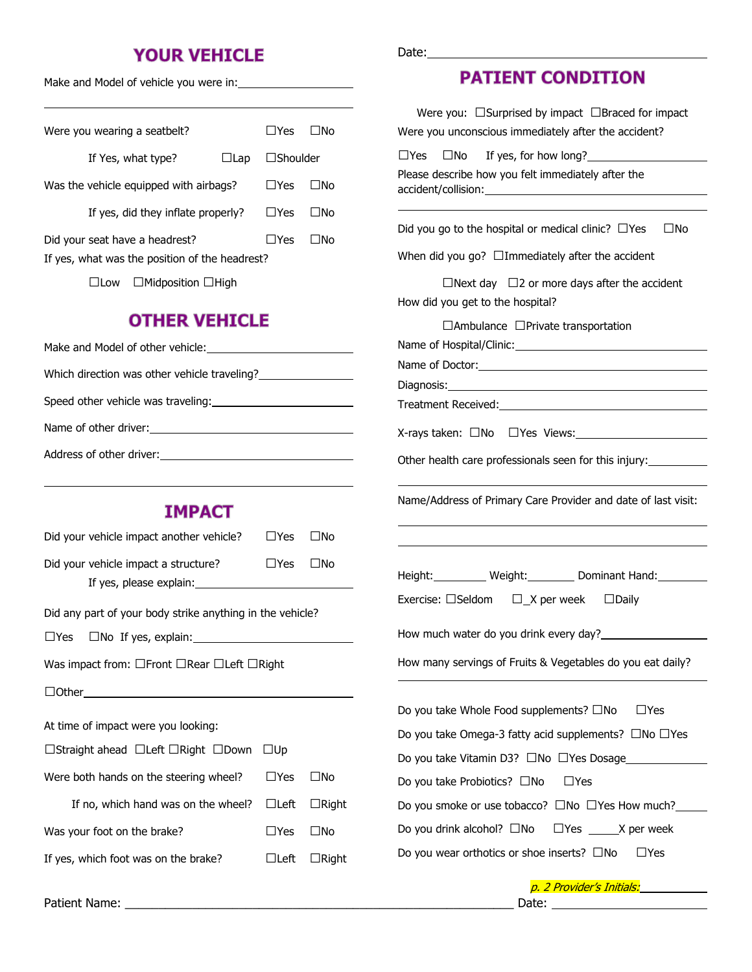### **YOUR VEHICLE**

Make and Model of vehicle you were in:

|                                                |  | Were you wearing a seatbelt?           |            | l IYes          | l INo |
|------------------------------------------------|--|----------------------------------------|------------|-----------------|-------|
|                                                |  | If Yes, what type?                     | $\Box$ Lap | $\Box$ Shoulder |       |
|                                                |  | Was the vehicle equipped with airbags? |            | $\Box$ Yes      | ⊟No   |
| If yes, did they inflate properly?             |  | $\Box$ Yes                             | l INo      |                 |       |
| Did your seat have a headrest?                 |  | ∏Yes                                   | l INo      |                 |       |
| If yes, what was the position of the headrest? |  |                                        |            |                 |       |
| $\Box$ Midposition $\Box$ High<br>l ILow       |  |                                        |            |                 |       |

#### **OTHER VEHICLE**

| Make and Model of other vehicle:             |
|----------------------------------------------|
| Which direction was other vehicle traveling? |
| Speed other vehicle was traveling:           |
|                                              |
| Address of other driver:                     |

#### **IMPACT**

| Did your vehicle impact another vehicle? | $\Box$ Yes $\Box$ No |  |
|------------------------------------------|----------------------|--|
| Did your vehicle impact a structure?     | ∏Yes ∏No             |  |
| If yes, please explain:                  |                      |  |

Did any part of your body strike anything in the vehicle?

□Yes □No If yes, explain: <u>■</u>

Was impact from: □Front □Rear □Left □Right

□Other

At time of impact were you looking:

| □Straight ahead □Left □Right □Down □Up |  |  |  |  |
|----------------------------------------|--|--|--|--|
|----------------------------------------|--|--|--|--|

| Were both hands on the steering wheel? $\Box$ Yes $\Box$ No  |                      |                          |
|--------------------------------------------------------------|----------------------|--------------------------|
| If no, which hand was on the wheel? $\Box$ Left $\Box$ Right |                      |                          |
| Was your foot on the brake?                                  | $\Box$ Yes $\Box$ No |                          |
| If yes, which foot was on the brake?                         |                      | $\Box$ Left $\Box$ Right |

Date:

### **PATIENT CONDITION**

| Were you: $\Box$ Surprised by impact $\Box$ Braced for impact<br>Were you unconscious immediately after the accident? |
|-----------------------------------------------------------------------------------------------------------------------|
| $\Box$ Yes $\Box$ No If yes, for how long?<br>Please describe how you felt immediately after the                      |
| Did you go to the hospital or medical clinic? $\Box$ Yes $\Box$ No                                                    |
| When did you go? $\Box$ Immediately after the accident                                                                |
| $\Box$ Next day $\Box$ 2 or more days after the accident<br>How did you get to the hospital?                          |
| $\Box$ Ambulance $\Box$ Private transportation<br>Name of Hospital/Clinic: Name of Hospital/Clinic:                   |
|                                                                                                                       |
| Treatment Received: University of the Contract of Treatment Received:                                                 |
|                                                                                                                       |
| Other health care professionals seen for this injury:                                                                 |
| Name/Address of Primary Care Provider and date of last visit:                                                         |
|                                                                                                                       |
| Height: Weight: Dominant Hand:                                                                                        |
| Exercise: □Seldom □_X per week □Daily                                                                                 |
| How much water do you drink every day?                                                                                |
| How many servings of Fruits & Vegetables do you eat daily?                                                            |
| Do you take Whole Food supplements? $\square$ No $\square$ Yes                                                        |
| Do you take Omega-3 fatty acid supplements? $\Box$ No $\Box$ Yes                                                      |
| Do you take Vitamin D3? □No □Yes Dosage                                                                               |
| Do you take Probiotics? □No<br>$\sqcup$ Yes                                                                           |
| Do you smoke or use tobacco? $\square$ No $\square$ Yes How much?                                                     |
| Do you drink alcohol? $\square$ No $\square$ Yes $\square$ X per week                                                 |
| Do you wear orthotics or shoe inserts? $\square$ No<br>$\sqcup$ Yes                                                   |

Patient Name: **Example 2** and the set of the set of the set of the set of the set of the set of the set of the set of the set of the set of the set of the set of the set of the set of the set of the set of the set of the s

p. 2 Provider's Initials: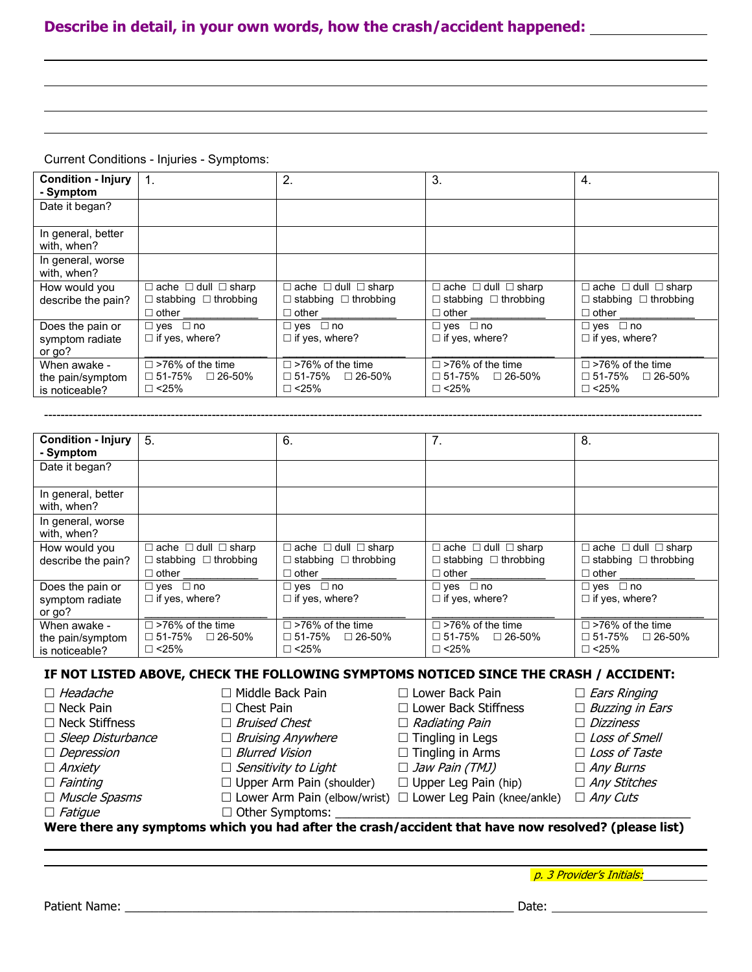#### **Describe in detail, in your own words, how the crash/accident happened:**

Current Conditions - Injuries - Symptoms:

| <b>Condition - Injury</b><br>- Symptom             | $\mathbf{1}$ .                                                              | 2.                                                                          | 3.                                                                          | 4.                                                                             |
|----------------------------------------------------|-----------------------------------------------------------------------------|-----------------------------------------------------------------------------|-----------------------------------------------------------------------------|--------------------------------------------------------------------------------|
| Date it began?                                     |                                                                             |                                                                             |                                                                             |                                                                                |
| In general, better<br>with, when?                  |                                                                             |                                                                             |                                                                             |                                                                                |
| In general, worse<br>with, when?                   |                                                                             |                                                                             |                                                                             |                                                                                |
| How would you                                      | $\Box$ ache $\Box$ dull $\Box$ sharp<br>$\Box$ stabbing $\Box$ throbbing    | $\Box$ ache $\Box$ dull $\Box$ sharp<br>$\Box$ stabbing $\Box$ throbbing    | $\Box$ ache $\Box$ dull $\Box$ sharp<br>$\Box$ stabbing $\Box$ throbbing    | $\Box$ ache $\Box$ dull $\Box$ sharp<br>$\Box$ stabbing $\Box$ throbbing       |
| describe the pain?                                 | $\Box$ other                                                                | $\sqcap$ other                                                              | $\sqcap$ other                                                              | $\Box$ other                                                                   |
| Does the pain or<br>symptom radiate<br>or go?      | $\Box$ yes $\Box$ no<br>$\Box$ if yes, where?                               | $\Box$ yes $\Box$ no<br>$\Box$ if yes, where?                               | $\Box$ yes $\Box$ no<br>$\Box$ if yes, where?                               | $\Box$ yes $\Box$ no<br>$\Box$ if yes, where?                                  |
| When awake -<br>the pain/symptom<br>is noticeable? | $\Box$ >76% of the time<br>$\square$ 51-75% $\square$ 26-50%<br>$\Box$ <25% | $\Box$ >76% of the time<br>$\square$ 51-75% $\square$ 26-50%<br>$\Box$ <25% | $\Box$ >76% of the time<br>$\square$ 51-75% $\square$ 26-50%<br>$\Box$ <25% | $\square$ >76% of the time<br>$\square$ 51-75%<br>$\Box$ 26-50%<br>$\Box$ <25% |

| <b>Condition - Injury</b><br>- Symptom             | 5.                                                                                       | 6.                                                                                         | 7 <sub>1</sub>                                                                           | 8.                                                                                       |
|----------------------------------------------------|------------------------------------------------------------------------------------------|--------------------------------------------------------------------------------------------|------------------------------------------------------------------------------------------|------------------------------------------------------------------------------------------|
| Date it began?                                     |                                                                                          |                                                                                            |                                                                                          |                                                                                          |
| In general, better<br>with, when?                  |                                                                                          |                                                                                            |                                                                                          |                                                                                          |
| In general, worse<br>with, when?                   |                                                                                          |                                                                                            |                                                                                          |                                                                                          |
| How would you<br>describe the pain?                | $\Box$ ache $\Box$ dull $\Box$ sharp<br>$\Box$ stabbing $\Box$ throbbing<br>$\Box$ other | $\Box$ ache $\Box$ dull $\Box$ sharp<br>$\Box$ stabbing $\Box$ throbbing<br>$\sqcap$ other | $\Box$ ache $\Box$ dull $\Box$ sharp<br>$\Box$ stabbing $\Box$ throbbing<br>$\Box$ other | $\Box$ ache $\Box$ dull $\Box$ sharp<br>$\Box$ stabbing $\Box$ throbbing<br>$\Box$ other |
| Does the pain or<br>symptom radiate<br>or go?      | $\Box$ yes $\Box$ no<br>$\Box$ if yes, where?                                            | $\Box$ yes $\Box$ no<br>$\Box$ if yes, where?                                              | $\Box$ yes $\Box$ no<br>$\Box$ if yes, where?                                            | $\Box$ yes $\Box$ no<br>$\Box$ if yes, where?                                            |
| When awake -<br>the pain/symptom<br>is noticeable? | $\Box$ >76% of the time<br>$\Box$ 51-75% $\Box$ 26-50%<br>$\Box$ <25%                    | $\Box$ >76% of the time<br>$\square$ 51-75% $\square$ 26-50%<br>$\Box$ <25%                | $\Box$ >76% of the time<br>$\square$ 51-75% $\square$ 26-50%<br>$\Box$ <25%              | $\Box$ >76% of the time<br>$\square$ 51-75% $\square$ 26-50%<br>$\Box$ <25%              |

-----------------------------------------------------------------------------------------------------------------------------------------------------------------

#### **IF NOT LISTED ABOVE, CHECK THE FOLLOWING SYMPTOMS NOTICED SINCE THE CRASH / ACCIDENT:**

|                          | .                                | .<br>. .                                                               | $\cdots$<br>.          |
|--------------------------|----------------------------------|------------------------------------------------------------------------|------------------------|
| $\Box$ Fatigue           | $\Box$ Other Symptoms:           |                                                                        |                        |
| $\Box$ Muscle Spasms     |                                  | $\Box$ Lower Arm Pain (elbow/wrist) $\Box$ Lower Leg Pain (knee/ankle) | $\Box$ Any Cuts        |
| $\Box$ Fainting          | $\Box$ Upper Arm Pain (shoulder) | $\Box$ Upper Leg Pain (hip)                                            | $\Box$ Any Stitches    |
| $\Box$ Anxiety           | $\Box$ Sensitivity to Light      | $\Box$ Jaw Pain (TMJ)                                                  | $\Box$ Any Burns       |
| $\Box$ Depression        | $\Box$ Blurred Vision            | $\Box$ Tingling in Arms                                                | $\Box$ Loss of Taste   |
| $\Box$ Sleep Disturbance | $\Box$ Bruising Anywhere         | $\Box$ Tingling in Legs                                                | $\Box$ Loss of Smell   |
| $\Box$ Neck Stiffness    | $\Box$ Bruised Chest             | $\Box$ Radiating Pain                                                  | $\Box$ Dizziness       |
| $\Box$ Neck Pain         | $\Box$ Chest Pain                | $\Box$ Lower Back Stiffness                                            | $\Box$ Buzzing in Ears |
| $\Box$ Headache          | $\Box$ Middle Back Pain          | $\Box$ Lower Back Pain                                                 | $\Box$ Ears Ringing    |

**Were there any symptoms which you had after the crash/accident that have now resolved? (please list)**

p. 3 Provider's Initials: